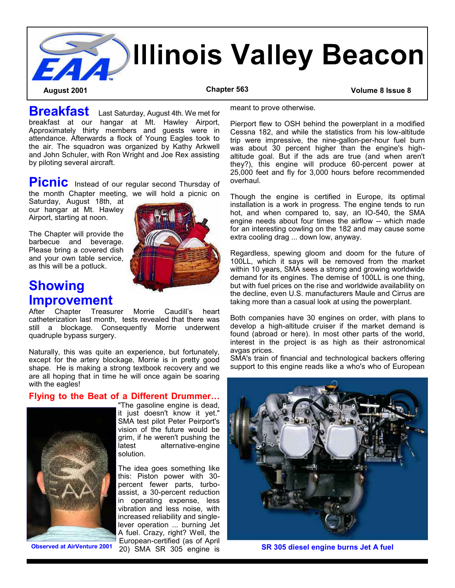

**Breakfast** Last Saturday, August 4th. We met for breakfast at our hangar at Mt. Hawley Airport, Approximately thirty members and guests were in attendance. Afterwards a flock of Young Eagles took to the air. The squadron was organized by Kathy Arkwell and John Schuler, with Ron Wright and Joe Rex assisting by piloting several aircraft.

**Picnic** Instead of our regular second Thursday of the month Chapter meeting, we will hold a picnic on

Saturday, August 18th, at our hangar at Mt. Hawley Airport, starting at noon.

The Chapter will provide the barbecue and beverage. Please bring a covered dish and your own table service, as this will be a potluck.

# **Showing Improvement**

Chapter Treasurer Morrie Caudill's heart catheterization last month, tests revealed that there was still a blockage. Consequently Morrie underwent quadruple bypass surgery.

Naturally, this was quite an experience, but fortunately, except for the artery blockage, Morrie is in pretty good shape. He is making a strong textbook recovery and we are all hoping that in time he will once again be soaring with the eagles!

#### **Flying to the Beat of a Different Drummer…**  "The gasoline engine is dead,

solution.





it just doesn't know it yet." SMA test pilot Peter Peirport's vision of the future would be grim, if he weren't pushing the latest alternative-engine

The idea goes something like this: Piston power with 30 percent fewer parts, turboassist, a 30-percent reduction in operating expense, less vibration and less noise, with increased reliability and singlelever operation ... burning Jet A fuel. Crazy, right? Well, the European-certified (as of April 20) SMA SR 305 engine is

meant to prove otherwise.

Pierport flew to OSH behind the powerplant in a modified Cessna 182, and while the statistics from his low-altitude trip were impressive, the nine-gallon-per-hour fuel burn was about 30 percent higher than the engine's highaltitude goal. But if the ads are true (and when aren't they?), this engine will produce 60-percent power at 25,000 feet and fly for 3,000 hours before recommended overhaul.

Though the engine is certified in Europe, its optimal installation is a work in progress. The engine tends to run hot, and when compared to, say, an IO-540, the SMA engine needs about four times the airflow -- which made for an interesting cowling on the 182 and may cause some extra cooling drag ... down low, anyway.

Regardless, spewing gloom and doom for the future of 100LL, which it says will be removed from the market within 10 years, SMA sees a strong and growing worldwide demand for its engines. The demise of 100LL is one thing, but with fuel prices on the rise and worldwide availability on the decline, even U.S. manufacturers Maule and Cirrus are taking more than a casual look at using the powerplant.

Both companies have 30 engines on order, with plans to develop a high-altitude cruiser if the market demand is found (abroad or here). In most other parts of the world, interest in the project is as high as their astronomical avgas prices.

SMA's train of financial and technological backers offering support to this engine reads like a who's who of European



**Observed at AirVenture 2001 SR 305 diesel engine burns Jet A fuel**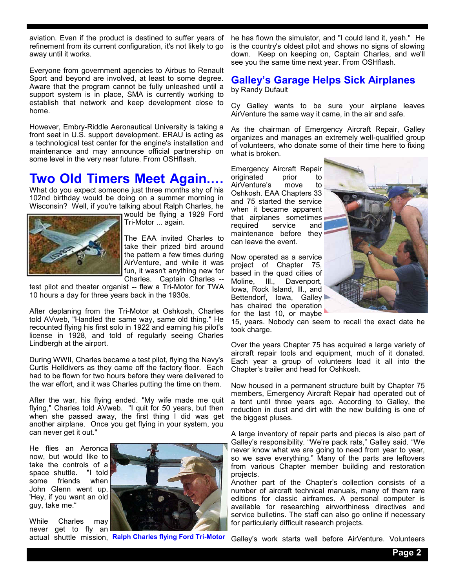aviation. Even if the product is destined to suffer years of refinement from its current configuration, it's not likely to go away until it works.

Everyone from government agencies to Airbus to Renault Sport and beyond are involved, at least to some degree. Aware that the program cannot be fully unleashed until a support system is in place, SMA is currently working to establish that network and keep development close to home.

However, Embry-Riddle Aeronautical University is taking a front seat in U.S. support development. ERAU is acting as a technological test center for the engine's installation and maintenance and may announce official partnership on some level in the very near future. From OSHflash.

## **Two Old Timers Meet Again.…**

What do you expect someone just three months shy of his 102nd birthday would be doing on a summer morning in Wisconsin? Well, if you're talking about Ralph Charles, he



would be flying a 1929 Ford Tri-Motor ... again.

The EAA invited Charles to take their prized bird around the pattern a few times during AirVenture, and while it was fun, it wasn't anything new for Charles. Captain Charles --

test pilot and theater organist -- flew a Tri-Motor for TWA 10 hours a day for three years back in the 1930s.

After deplaning from the Tri-Motor at Oshkosh, Charles told AVweb, "Handled the same way, same old thing." He recounted flying his first solo in 1922 and earning his pilot's license in 1928, and told of regularly seeing Charles Lindbergh at the airport.

During WWII, Charles became a test pilot, flying the Navy's Curtis Helldivers as they came off the factory floor. Each had to be flown for two hours before they were delivered to the war effort, and it was Charles putting the time on them.

After the war, his flying ended. "My wife made me quit flying," Charles told AVweb. "I quit for 50 years, but then when she passed away, the first thing I did was get another airplane. Once you get flying in your system, you can never get it out."

He flies an Aeronca now, but would like to take the controls of a<br>space shuttle. "I told space shuttle. some friends when John Glenn went up, 'Hey, if you want an old guy, take me."

While Charles may never get to fly an



actual shuttle mission, **Ralph Charles flying Ford Tri-Motor**

he has flown the simulator, and "I could land it, yeah." He is the country's oldest pilot and shows no signs of slowing down. Keep on keeping on, Captain Charles, and we'll see you the same time next year. From OSHflash.

## **Galley's Garage Helps Sick Airplanes**

by Randy Dufault

Cy Galley wants to be sure your airplane leaves AirVenture the same way it came, in the air and safe.

As the chairman of Emergency Aircraft Repair, Galley organizes and manages an extremely well-qualified group of volunteers, who donate some of their time here to fixing what is broken.

Emergency Aircraft Repair<br>originated prior to originated prior to AirVenture's move to Oshkosh. EAA Chapters 33 and 75 started the service when it became apparent that airplanes sometimes required service and maintenance before they can leave the event.

Now operated as a service project of Chapter 75, based in the quad cities of Moline, Ill., Davenport, Iowa, Rock Island, Ill., and Bettendorf, Iowa, Galley has chaired the operation for the last 10, or maybe



15, years. Nobody can seem to recall the exact date he took charge.

Over the years Chapter 75 has acquired a large variety of aircraft repair tools and equipment, much of it donated. Each year a group of volunteers load it all into the Chapter's trailer and head for Oshkosh.

Now housed in a permanent structure built by Chapter 75 members, Emergency Aircraft Repair had operated out of a tent until three years ago. According to Galley, the reduction in dust and dirt with the new building is one of the biggest pluses.

A large inventory of repair parts and pieces is also part of Galley's responsibility. "We're pack rats," Galley said. "We never know what we are going to need from year to year, so we save everything." Many of the parts are leftovers from various Chapter member building and restoration projects.

Another part of the Chapter's collection consists of a number of aircraft technical manuals, many of them rare editions for classic airframes. A personal computer is available for researching airworthiness directives and service bulletins. The staff can also go online if necessary for particularly difficult research projects.

Galley's work starts well before AirVenture. Volunteers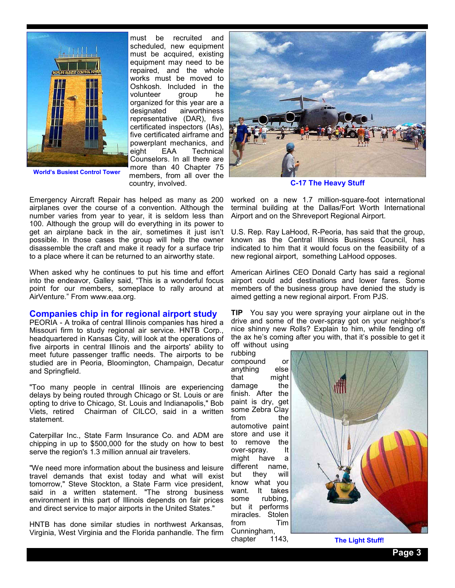

**World's Busiest Control Tower**

must be recruited and scheduled, new equipment must be acquired, existing equipment may need to be repaired, and the whole works must be moved to Oshkosh. Included in the volunteer group he organized for this year are a designated airworthiness representative (DAR), five certificated inspectors (IAs), five certificated airframe and powerplant mechanics, and eight EAA Technical Counselors. In all there are more than 40 Chapter 75 members, from all over the country, involved.

Emergency Aircraft Repair has helped as many as 200 airplanes over the course of a convention. Although the number varies from year to year, it is seldom less than 100. Although the group will do everything in its power to get an airplane back in the air, sometimes it just isn't possible. In those cases the group will help the owner disassemble the craft and make it ready for a surface trip to a place where it can be returned to an airworthy state.

When asked why he continues to put his time and effort into the endeavor, Galley said, "This is a wonderful focus point for our members, someplace to rally around at AirVenture." From www.eaa.org.

#### **Companies chip in for regional airport study**

PEORIA - A troika of central Illinois companies has hired a Missouri firm to study regional air service. HNTB Corp., headquartered in Kansas City, will look at the operations of five airports in central Illinois and the airports' ability to meet future passenger traffic needs. The airports to be studied are in Peoria, Bloomington, Champaign, Decatur and Springfield.

"Too many people in central Illinois are experiencing delays by being routed through Chicago or St. Louis or are opting to drive to Chicago, St. Louis and Indianapolis," Bob Viets, retired Chairman of CILCO, said in a written statement.

Caterpillar Inc., State Farm Insurance Co. and ADM are chipping in up to \$500,000 for the study on how to best serve the region's 1.3 million annual air travelers.

"We need more information about the business and leisure travel demands that exist today and what will exist tomorrow," Steve Stockton, a State Farm vice president, said in a written statement. "The strong business environment in this part of Illinois depends on fair prices and direct service to major airports in the United States."

HNTB has done similar studies in northwest Arkansas, Virginia, West Virginia and the Florida panhandle. The firm



**C-17 The Heavy Stuff**

worked on a new 1.7 million-square-foot international terminal building at the Dallas/Fort Worth International Airport and on the Shreveport Regional Airport.

U.S. Rep. Ray LaHood, R-Peoria, has said that the group, known as the Central Illinois Business Council, has indicated to him that it would focus on the feasibility of a new regional airport, something LaHood opposes.

American Airlines CEO Donald Carty has said a regional airport could add destinations and lower fares. Some members of the business group have denied the study is aimed getting a new regional airport. From PJS.

**TIP** You say you were spraying your airplane out in the drive and some of the over-spray got on your neighbor's nice shinny new Rolls? Explain to him, while fending off the ax he's coming after you with, that it's possible to get it off without using

rubbing compound or anything else that might damage the finish. After the paint is dry, get some Zebra Clay from the automotive paint store and use it to remove the over-spray. It might have a different name, but they will know what you want. It takes some rubbing, but it performs miracles. Stolen from Tim Cunningham, chapter 1143,



**The Light Stuff!**